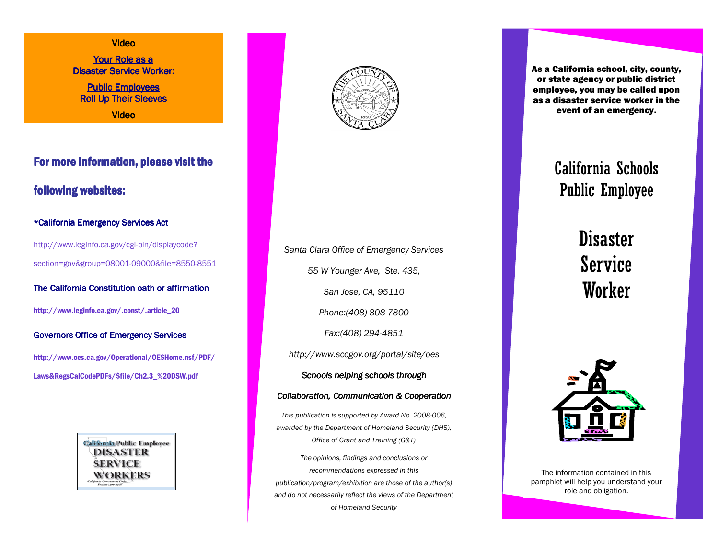#### Video

Your Role as a Disaster Service Worker:

**Public Employees** Roll Up Their Sleeves Video

For more information, please visit the following websites:

#### \*California Emergency Services Act

http://www.leginfo.ca.gov/cgi-bin/displaycode? section=gov&group=08001-09000&file=8550-8551

The California Constitution oath or affirmation

http://www.leginfo.ca.gov/.const/.article\_20

Governors Office of Emergency Services

http://www.oes.ca.gov/Operational/OESHome.nsf/PDF/ Laws&RegsCalCodePDFs/\$file/Ch2.3\_%20DSW.pdf





*Santa Clara Office of Emergency Services 55 W Younger Ave, Ste. 435, San Jose, CA, 95110 Phone:(408) 808-7800 Fax:(408) 294-4851 http://www.sccgov.org/portal/site/oes Schools helping schools through Collaboration, Communication & Cooperation This publication is supported by Award No. 2008-006, awarded by the Department of Homeland Security (DHS), Office of Grant and Training (G&T) The opinions, findings and conclusions or recommendations expressed in this* 

*publication/program/exhibition are those of the author(s) and do not necessarily reflect the views of the Department of Homeland Security* 

As a California school, city, county, or state agency or public district employee, you may be called upon as a disaster service worker in the event of an emergency.

# California Schools Public Employee

**Disaster** Service **Worker** 



The information contained in this pamphlet will help you understand your role and obligation.